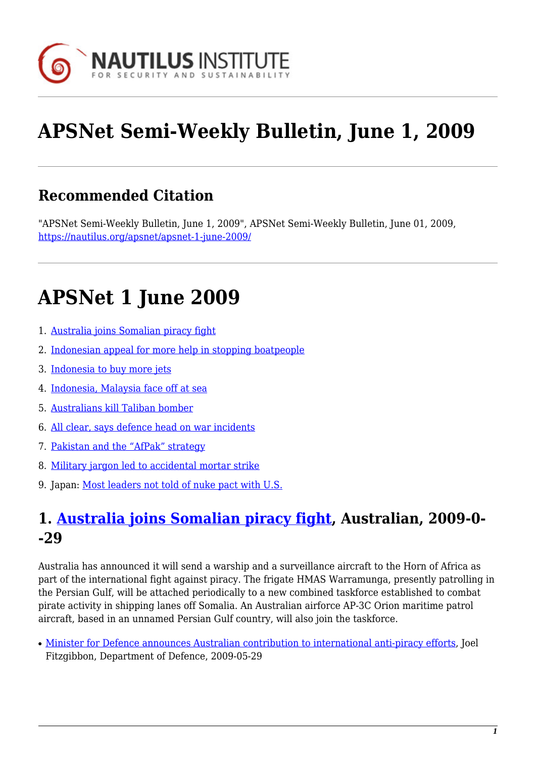

# **APSNet Semi-Weekly Bulletin, June 1, 2009**

## **Recommended Citation**

"APSNet Semi-Weekly Bulletin, June 1, 2009", APSNet Semi-Weekly Bulletin, June 01, 2009, <https://nautilus.org/apsnet/apsnet-1-june-2009/>

## **APSNet 1 June 2009**

- 1. [Australia joins Somalian piracy fight](#page--1-0)
- 2. [Indonesian appeal for more help in stopping boatpeople](#page-0-0)
- 3. [Indonesia to buy more jets](#page-1-0)
- 4. [Indonesia, Malaysia face off at sea](#page-1-1)
- 5. [Australians kill Taliban bomber](#page-1-2)
- 6. [All clear, says defence head on war incidents](#page-1-3)
- 7. [Pakistan and the "AfPak" strategy](#page-2-0)
- 8. [Military jargon led to accidental mortar strike](#page-2-1)
- 9. Japan: [Most leaders not told of nuke pact with U.S.](#page-2-2)

## **1. [Australia joins Somalian piracy fight,](http://www.theaustralian.news.com.au/story/0,25197,25555890-31477,00.html) Australian, 2009-0- -29**

Australia has announced it will send a warship and a surveillance aircraft to the Horn of Africa as part of the international fight against piracy. The frigate HMAS Warramunga, presently patrolling in the Persian Gulf, will be attached periodically to a new combined taskforce established to combat pirate activity in shipping lanes off Somalia. An Australian airforce AP-3C Orion maritime patrol aircraft, based in an unnamed Persian Gulf country, will also join the taskforce.

<span id="page-0-0"></span>• [Minister for Defence announces Australian contribution to international anti-piracy efforts](http://www.minister.defence.gov.au/Fitzgibbontpl.cfm?CurrentId=9148), Joel Fitzgibbon, Department of Defence, 2009-05-29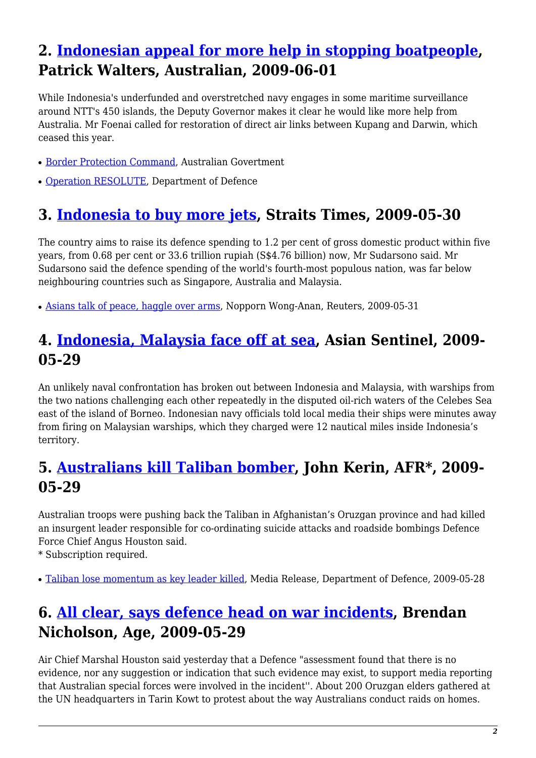## **2. [Indonesian appeal for more help in stopping boatpeople](http://www.theaustralian.news.com.au/story/0,25197,25564624-25837,00.html), Patrick Walters, Australian, 2009-06-01**

While Indonesia's underfunded and overstretched navy engages in some maritime surveillance around NTT's 450 islands, the Deputy Governor makes it clear he would like more help from Australia. Mr Foenai called for restoration of direct air links between Kupang and Darwin, which ceased this year.

- [Border Protection Command,](http://www.bpc.gov.au/site/page.cfm?u=5765) Australian Govertment
- [Operation RESOLUTE,](http://www.defence.gov.au/opEx/global/opresolute/index.htm) Department of Defence

## <span id="page-1-0"></span>**3. [Indonesia to buy more jets](http://www.straitstimes.com/Breaking News/SE Asia/Story/STIStory_383662.html), Straits Times, 2009-05-30**

The country aims to raise its defence spending to 1.2 per cent of gross domestic product within five years, from 0.68 per cent or 33.6 trillion rupiah (S\$4.76 billion) now, Mr Sudarsono said. Mr Sudarsono said the defence spending of the world's fourth-most populous nation, was far below neighbouring countries such as Singapore, Australia and Malaysia.

• [Asians talk of peace, haggle over arms,](http://www.reuters.com/article/worldNews/idUSTRE54U0JG20090531) Nopporn Wong-Anan, Reuters, 2009-05-31

### <span id="page-1-1"></span>**4. [Indonesia, Malaysia face off at sea,](http://www.asiasentinel.com/index.php?option=com_content&task=view&id=1901&Itemid=178) Asian Sentinel, 2009- 05-29**

An unlikely naval confrontation has broken out between Indonesia and Malaysia, with warships from the two nations challenging each other repeatedly in the disputed oil-rich waters of the Celebes Sea east of the island of Borneo. Indonesian navy officials told local media their ships were minutes away from firing on Malaysian warships, which they charged were 12 nautical miles inside Indonesia's territory.

#### <span id="page-1-2"></span>**5. [Australians kill Taliban bomber](http://afr.com/home/login.aspx?EDP://20090529000031192726§ion=industry-capital_goods), John Kerin, AFR\*, 2009- 05-29**

Australian troops were pushing back the Taliban in Afghanistan's Oruzgan province and had killed an insurgent leader responsible for co-ordinating suicide attacks and roadside bombings Defence Force Chief Angus Houston said.

\* Subscription required.

• [Taliban lose momentum as key leader killed,](http://www.defence.gov.au/media/DepartmentalTpl.cfm?CurrentId=9144) Media Release, Department of Defence, 2009-05-28

## <span id="page-1-3"></span>**6. [All clear, says defence head on war incidents,](http://www.theage.com.au/world/all-clear-says-defence-head-on-war-incidents-20090528-boxx.html) Brendan Nicholson, Age, 2009-05-29**

Air Chief Marshal Houston said yesterday that a Defence "assessment found that there is no evidence, nor any suggestion or indication that such evidence may exist, to support media reporting that Australian special forces were involved in the incident''. About 200 Oruzgan elders gathered at the UN headquarters in Tarin Kowt to protest about the way Australians conduct raids on homes.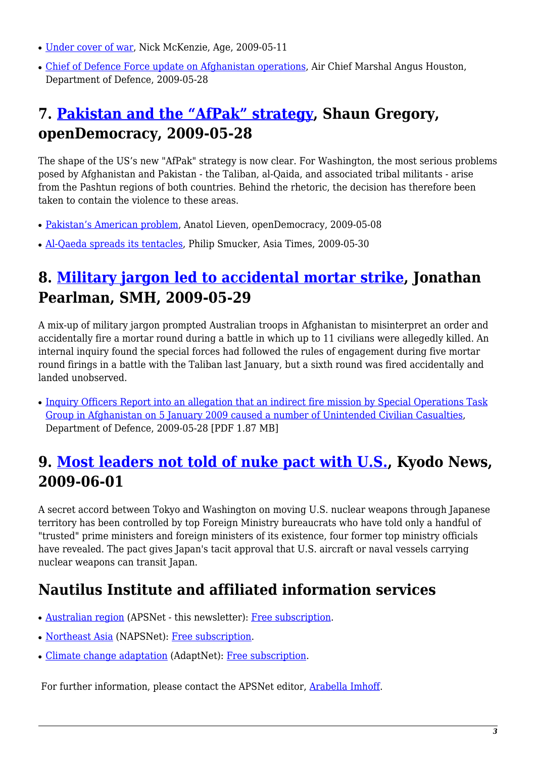- [Under cover of war](http://www.theage.com.au/national/investigations/under-cover-of-war-20090510-azac.html?page=-1), Nick McKenzie, Age, 2009-05-11
- [Chief of Defence Force update on Afghanistan operations,](http://www.defence.gov.au/media/SpeechTpl.cfm?CurrentId=9145) Air Chief Marshal Angus Houston, Department of Defence, 2009-05-28

## <span id="page-2-0"></span>**7. [Pakistan and the "AfPak" strategy](http://www.opendemocracy.net/article/pakistan-and-the-afpak-strategy), Shaun Gregory, openDemocracy, 2009-05-28**

The shape of the US's new "AfPak" strategy is now clear. For Washington, the most serious problems posed by Afghanistan and Pakistan - the Taliban, al-Qaida, and associated tribal militants - arise from the Pashtun regions of both countries. Behind the rhetoric, the decision has therefore been taken to contain the violence to these areas.

- [Pakistan's American problem](http://www.opendemocracy.net/article/pakistan-s-american-problem), Anatol Lieven, openDemocracy, 2009-05-08
- [Al-Qaeda spreads its tentacles](http://www.atimes.com/atimes/South_Asia/KE30Df01.html), Philip Smucker, Asia Times, 2009-05-30

## <span id="page-2-1"></span>**8. [Military jargon led to accidental mortar strike,](http://www.smh.com.au/world/military-jargon-led-to-accidental-mortar-strike-20090528-boxo.html) Jonathan Pearlman, SMH, 2009-05-29**

A mix-up of military jargon prompted Australian troops in Afghanistan to misinterpret an order and accidentally fire a mortar round during a battle in which up to 11 civilians were allegedly killed. An internal inquiry found the special forces had followed the rules of engagement during five mortar round firings in a battle with the Taliban last January, but a sixth round was fired accidentally and landed unobserved.

• [Inquiry Officers Report into an allegation that an indirect fire mission by Special Operations Task](http://www.defence.gov.au/coi/reports/indirectFireMission.pdf) [Group in Afghanistan on 5 January 2009 caused a number of Unintended Civilian Casualties](http://www.defence.gov.au/coi/reports/indirectFireMission.pdf), Department of Defence, 2009-05-28 [PDF 1.87 MB]

## <span id="page-2-2"></span>**9. [Most leaders not told of nuke pact with U.S.,](http://search.japantimes.co.jp/mail/nn20090601a1.html) Kyodo News, 2009-06-01**

A secret accord between Tokyo and Washington on moving U.S. nuclear weapons through Japanese territory has been controlled by top Foreign Ministry bureaucrats who have told only a handful of "trusted" prime ministers and foreign ministers of its existence, four former top ministry officials have revealed. The pact gives Japan's tacit approval that U.S. aircraft or naval vessels carrying nuclear weapons can transit Japan.

## **Nautilus Institute and affiliated information services**

- [Australian region](http://nautilus.org/austral-peace-and-security-network.html) (APSNet this newsletter): [Free subscription.](https://nautilus.org/mailman/listinfo/apsnet)
- [Northeast Asia](https://nautilus.org/napsnet/dr/index.html) (NAPSNet): [Free subscription](http://nautilus.org/napsnet/dr/index-2.html).
- [Climate change adaptation](http://nautilus.org/gci/adaptnet/adaptnet-main-page.html) (AdaptNet): [Free subscription](https://nautilus.org/mailman/listinfo/adaptnet).

For further information, please contact the APSNet editor, [Arabella Imhoff](mailto:austral@rmit.edu.au).